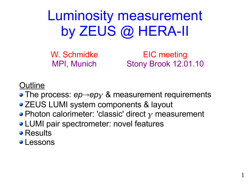Luminosity measurement by ZEUS @ HERA-II

W. Schmidke MPI, Munich

EIC meeting Stony Brook 12.01.10

1

**Outline** 

- The process:  $ep\rightarrow ep\gamma$  & measurement requirements
- ZEUS LUMI system components & layout
- Photon calorimeter: 'classic' direct  $\gamma$  measurement
- **LUMI pair spectrometer: novel features**
- Results
- **Lessons**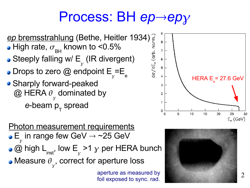### Process: BH *ep→ep*γ

8

 $\overline{I}$ 

 $6<sup>1</sup>$ 

 $5<sup>1</sup>$ 

 $\overline{4}$ 

3

 $\overline{2}$ 

 $\mathbf{1}$ 

 $\Omega$ 

foil exposed to sync. rad.



Photon measurement requirements E  $\overline{Y}$ in range few GeV  $\rightarrow$  ~25 GeV @ high L inst , low E  $\overline{Y}$ >1  $\gamma$  per HERA bunch Measure  $\theta$  $\overline{\mathcal{Y}}$ , correct for aperture loss aperture as measured by



 $\rm{HERA} \ E_{\rm{e}}$ = 27.6 GeV

 $\mathcal{D}_{\mathcal{L}}$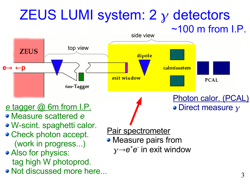### ZEUS LUMI system:  $2 \gamma$  detectors  $~100 \text{ m}$  from I.P.

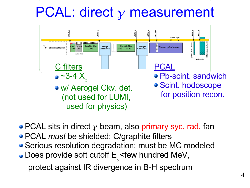## $PCAL:$  direct  $\gamma$  measurement



• PCAL sits in direct  $\gamma$  beam, also primary syc. rad. fan PCAL *must* be shielded: C/graphite filters **• Serious resolution degradation; must be MC modeled** Does provide soft cutoff E  $\overline{\mathcal{Y}}$ <few hundred MeV, protect against IR divergence in B-H spectrum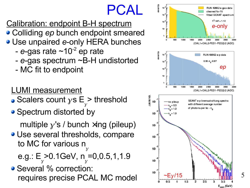### PCAL

Calibration: endpoint B-H spectrum Colliding ep bunch endpoint smeared Use unpaired e-only HERA bunches

- e-gas rate  $\sim$ 10<sup>-2</sup> ep rate
- e-gas spectrum ~B-H undistorted
- MC fit to endpoint
- LUMI measurement
- Scalers count  $\gamma$ s E  $\overline{Y}$ > t h r e s h old
- Spectrum distorted by

multiple  $\chi$ 's / bunch  $\times$ ing (pileup)

Use several thresholds, compare to MC for various n  $\overline{Y}$ 

e.g.: E  $\overline{\mathcal{Y}}$ >0.1GeV, n  $\overline{Y}$  $=0, 0.5, 1, 1.9$ 

Several % correction: requires precise PCAL MC mod

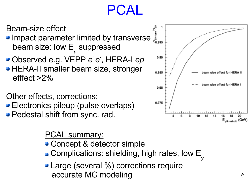### $PCA$

### Beam-size effect

- **Impact parameter limited by transverse** beam size: low E  $\overline{\mathcal{Y}}$ suppressed
- Observed e.g. VEPP  $e^+e^-$ , HERA-I  $ep$
- **HERA-II smaller beam size, stronger** efffect >2%

### Other effects, corrections:

- Electronics pileup (pulse overlaps) **Pedestal shift from sync. rad.** 
	-

### PCAL summary:

- Concept & detector simple
- Complications: shielding, high rates, low E  $\overline{Y}$
- Large (several %) corrections require accurate MC modeling

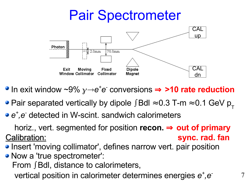### Pair Spectrometer



- In exit window ~9%  $\gamma$  $\rightarrow$ e<sup>+</sup>e<sup>-</sup> conversions  $\Rightarrow$  >10 rate reduction
- Pair separated vertically by dipole ∫Bdl ≈ 0.3 T-m ≈ 0.1 GeV  $p_{T}$
- *e + ,e -* detected in W-scint. sandwich calorimeters

horiz., vert. segmented for position **recon.** ⇒ **out of primary** Calibration: **sync. rad. fan**

- Insert 'moving collimator' , defines narrow vert. pair position
- Now a 'true spectrometer': From ∫Bdl, distance to calorimeters, vertical position in calorimeter determines energies  $e^+$ ,  $e^-$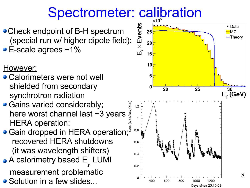# Spectrometer: calibration

- Check endpoint of B-H spectrum (special run w/ higher dipole field):
- E-scale agrees ~1%

However:

- Calorimeters were not well shielded from secondary synchrotron radiation
- Gains varied considerably; here worst channel last ~3 years HERA operation:
- **Gain dropped in HERA operation;** recovered HERA shutdowns (it was wavelength shifters) A calorimetry based E  $\overline{\mathcal{Y}}$ LUMI

measurement problematic

• Solution in a few slides...



Days since 23.10.03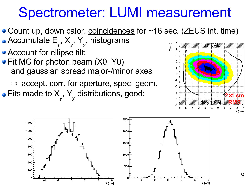### Spectrometer: LUMI measurement

- Count up, down calor. coincidences for ~16 sec. (ZEUS int. time) Accumulate E , X , Y , histograms
- $\overline{\mathcal{Y}}$  $\overline{\mathcal{Y}}$  $\overline{Y}$ **Account for ellipse tilt:**
- Fit MC for photon beam (X0, Y0) and gaussian spread major-/minor axes

 $\Rightarrow$  accept. corr. for aperture, spec. geom. Fits made to X  $\overset{\cdot}{\mathcal{Y}}$ , Y



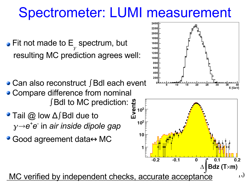### Spectrometer: LUMI measurement

- Fit not made to E  $\overline{Y}$ spectrum, but resulting MC prediction agrees well:
- Can also reconstruct ∫Bdl each event • Compare difference from nominal
- ∫Bdl to MC prediction: ■ Tail @ low ∆∫Bdl due to  $\alpha$ <sub>)</sub>  $\rightarrow$  e<sup>+</sup>e<sup>-</sup> in *air inside dipole gap*
- Good agreement data↔MC

MC verified by independent checks, accurate acceptance



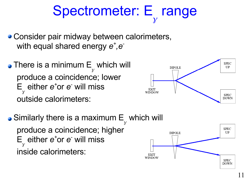#### Spectrometer: E  $\overline{\mathcal{Y}}$ range

- **Consider pair midway between calorimeters,** with equal shared energy  $e^+$ ,  $e^-$
- There is a minimum E  $\overline{Y}$ which will produce a coincidence; lower E either  $e^+$ or  $e^-$  will miss  $\mathcal{V}$ outside calorimeters:
- Similarly there is a maximum E which will  $\overline{Y}$ produce a coincidence; higher either  $e^+$ or  $e^-$  will miss E  $\overline{Y}$ inside calorimeters:EXIT



**DIPOLE** 

**EXIT WINDOW** 

11

**SPEC** UP

**SPEC DOWN**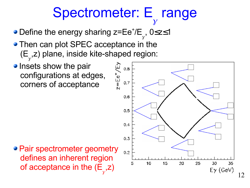#### Spectrometer: E  $\overline{\mathcal{Y}}$ range

- Define the energy sharing z=Ee<sup>+</sup>/E  $\overline{Y}$ , 0≤z≤1
- Then can plot SPEC acceptance in the (E  $\overline{Y}$ ,z) plane, inside kite-shaped region:
- **Insets show the pair** configurations at edges, corners of acceptance



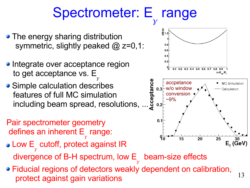#### Spectrometer: E  $\overline{\mathcal{Y}}$ range

- The energy sharing distribution symmetric, slightly peaked @ z=0,1:
- Integrate over acceptance region to get acceptance vs. E  $\overline{\mathcal{Y}}$
- **Simple calculation describes** features of full MC simulation including beam spread, resolutions, ...
- Pair spectrometer geometry defines an inherent E  $\overline{\mathcal{Y}}$ range:
- Low E  $\overline{\mathcal{Y}}$ cutoff, protect against IR divergence of B-H spectrum, low E  $\overline{\mathcal{Y}}$ beam-size effects
- Fiducial regions of detectors weakly dependent on calibration, protect against gain variations



13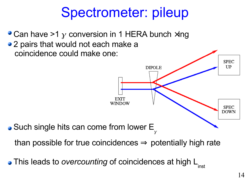## Spectrometer: pileup

• Can have >1  $\gamma$  conversion in 1 HERA bunch  $\times$ ing • 2 pairs that would not each make a coincidence could make one:



This leads to *overcounting* of coincidences at high L inst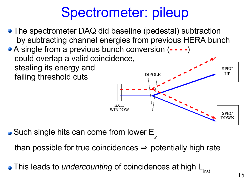## Spectrometer: pileup

- The spectrometer DAQ did baseline (pedestal) subtraction by subtracting channel energies from previous HERA bunch A single from a previous bunch conversion (**- - - -**) could overlap a valid coincidence, stealing its energy and **SPEC** UP **DIPOLE** failing threshold cuts WINDOW **SPEC** DOWN
- Such single hits can come from lower E  $\overline{Y}$

than possible for true coincidences  $\Rightarrow$  potentially high rate

This leads to *undercounting* of coincidences at high L inst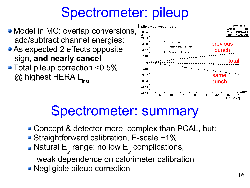## Spectrometer: pileup



### Spectrometer: summary

- Concept & detector more complex than PCAL, but:
- Straightforward calibration, E-scale ~1%
- Natural E  $\overline{Y}$ range: no low E  $\overline{Y}$ complications, weak dependence on calorimeter calibration
- Negligible pileup correction

previous

bunch

total

h corr lumi

Mean 2.666e+31

 $9.427 + 30$ 

50

**Entries** 

**RMS** 

bunch

30

35 L  $\textsf{Icm}^2$ s 1

25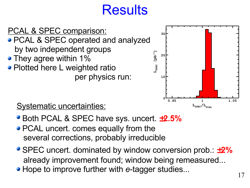## **Results**

![](_page_16_Figure_1.jpeg)

![](_page_16_Figure_2.jpeg)

Systematic uncertainties:

- Both PCAL & SPEC have sys. uncert. ±**2.5%**
- **PCAL uncert. comes equally from the** several corrections, probably irreducible
- SPEC uncert. dominated by window conversion prob.: ±**2%** already improvement found; window being remeasured...
- Hope to improve further with *e*-tagger studies...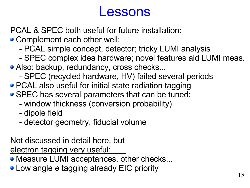### Lessons

### PCAL & SPEC both useful for future installation:

- Complement each other well:
	- PCAL simple concept, detector; tricky LUMI analysis
	- SPEC complex idea hardware; novel features aid LUMI meas.
- Also: backup, redundancy, cross checks...
	- SPEC (recycled hardware, HV) failed several periods
- PCAL also useful for initial state radiation tagging
- SPEC has several parameters that can be tuned:
	- window thickness (conversion probability)
	- dipole field
	- detector geometry, fiducial volume

Not discussed in detail here, but electron tagging very useful:

- Measure LUMI acceptances, other checks...
- **Low angle** *e* **tagging already EIC priority**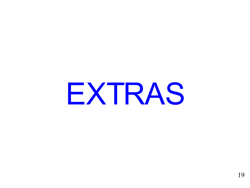EXTRAS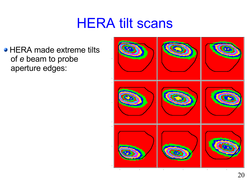### **HERA tilt scans**

• HERA made extreme tilts of *e* beam to probe aperture edges:

![](_page_19_Picture_2.jpeg)